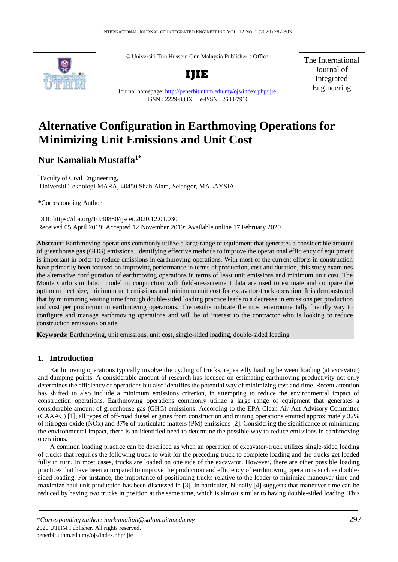

© Universiti Tun Hussein Onn Malaysia Publisher's Office



Journal homepage:<http://penerbit.uthm.edu.my/ojs/index.php/ijie>

ISSN : 2229-838X e-ISSN : 2600-7916

The International Journal of Integrated Engineering

# **Alternative Configuration in Earthmoving Operations for Minimizing Unit Emissions and Unit Cost**

# **Nur Kamaliah Mustaffa1\***

<sup>1</sup>Faculty of Civil Engineering, Universiti Teknologi MARA, 40450 Shah Alam, Selangor, MALAYSIA

\*Corresponding Author

DOI: https://doi.org/10.30880/ijscet.2020.12.01.030 Received 05 April 2019; Accepted 12 November 2019; Available online 17 February 2020

**Abstract:** Earthmoving operations commonly utilize a large range of equipment that generates a considerable amount of greenhouse gas (GHG) emissions. Identifying effective methods to improve the operational efficiency of equipment is important in order to reduce emissions in earthmoving operations. With most of the current efforts in construction have primarily been focused on improving performance in terms of production, cost and duration, this study examines the alternative configuration of earthmoving operations in terms of least unit emissions and minimum unit cost. The Monte Carlo simulation model in conjunction with field-measurement data are used to estimate and compare the optimum fleet size, minimum unit emissions and minimum unit cost for excavator-truck operation. It is demonstrated that by minimizing waiting time through double-sided loading practice leads to a decrease in emissions per production and cost per production in earthmoving operations. The results indicate the most environmentally friendly way to configure and manage earthmoving operations and will be of interest to the contractor who is looking to reduce construction emissions on site.

**Keywords:** Earthmoving, unit emissions, unit cost, single-sided loading, double-sided loading

# **1. Introduction**

Earthmoving operations typically involve the cycling of trucks, repeatedly hauling between loading (at excavator) and dumping points. A considerable amount of research has focused on estimating earthmoving productivity not only determines the efficiency of operations but also identifies the potential way of minimizing cost and time. Recent attention has shifted to also include a minimum emissions criterion, in attempting to reduce the environmental impact of construction operations. Earthmoving operations commonly utilize a large range of equipment that generates a considerable amount of greenhouse gas (GHG) emissions. According to the EPA Clean Air Act Advisory Committee (CAAAC) [1], all types of off-road diesel engines from construction and mining operations emitted approximately 32% of nitrogen oxide (NOx) and 37% of particulate matters (PM) emissions [2]. Considering the significance of minimizing the environmental impact, there is an identified need to determine the possible way to reduce emissions in earthmoving operations.

A common loading practice can be described as when an operation of excavator-truck utilizes single-sided loading of trucks that requires the following truck to wait for the preceding truck to complete loading and the trucks get loaded fully in turn. In most cases, trucks are loaded on one side of the excavator. However, there are other possible loading practices that have been anticipated to improve the production and efficiency of earthmoving operations such as doublesided loading. For instance, the importance of positioning trucks relative to the loader to minimize maneuver time and maximize haul unit production has been discussed in [3]. In particular, Nunally [4] suggests that maneuver time can be reduced by having two trucks in position at the same time, which is almost similar to having double-sided loading. This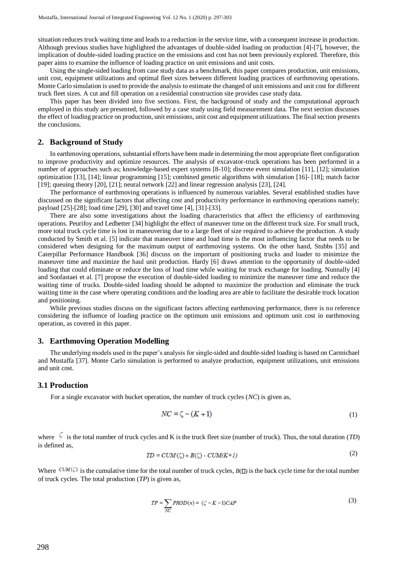situation reduces truck waiting time and leads to a reduction in the service time, with a consequent increase in production. Although previous studies have highlighted the advantages of double-sided loading on production [4]-[7], however, the implication of double-sided loading practice on the emissions and cost has not been previously explored. Therefore, this paper aims to examine the influence of loading practice on unit emissions and unit costs.

Using the single-sided loading from case study data as a benchmark, this paper compares production, unit emissions, unit cost, equipment utilizations and optimal fleet sizes between different loading practices of earthmoving operations. Monte Carlo simulation is used to provide the analysis to estimate the changed of unit emissions and unit cost for different truck fleet sizes. A cut and fill operation on a residential construction site provides case study data.

This paper has been divided into five sections. First, the background of study and the computational approach employed in this study are presented, followed by a case study using field measurement data. The next section discusses the effect of loading practice on production, unit emissions, unit cost and equipment utilizations. The final section presents the conclusions.

# **2. Background of Study**

In earthmoving operations, substantial efforts have been made in determining the most appropriate fleet configuration to improve productivity and optimize resources. The analysis of excavator-truck operations has been performed in a number of approaches such as; knowledge-based expert systems [8-10]; discrete event simulation [11], [12]; simulation optimization [13], [14]; linear programming [15]; combined genetic algorithms with simulation [16]- [18]; match factor [19]; queuing theory [20], [21]; neural network [22] and linear regression analysis [23], [24].

The performance of earthmoving operations is influenced by numerous variables. Several established studies have discussed on the significant factors that affecting cost and productivity performance in earthmoving operations namely; payload [25]-[28]; load time [29], [30] and travel time [4], [31]-[33].

There are also some investigations about the loading characteristics that affect the efficiency of earthmoving operations. Peurifoy and Ledbetter [34] highlight the effect of maneuver time on the different truck size. For small truck, more total truck cycle time is lost in maneuvering due to a large fleet of size required to achieve the production. A study conducted by Smith et al. [5] indicate that maneuver time and load time is the most influencing factor that needs to be considered when designing for the maximum output of earthmoving systems. On the other hand, Stubbs [35] and Caterpillar Performance Handbook [36] discuss on the important of positioning trucks and loader to minimize the maneuver time and maximize the haul unit production. Hardy [6] draws attention to the opportunity of double-sided loading that could eliminate or reduce the loss of load time while waiting for truck exchange for loading. Nunnally [4] and Soofastaei et al. [7] propose the execution of double-sided loading to minimize the maneuver time and reduce the waiting time of trucks. Double-sided loading should be adopted to maximize the production and eliminate the truck waiting time in the case where operating conditions and the loading area are able to facilitate the desirable truck location and positioning.

While previous studies discuss on the significant factors affecting earthmoving performance, there is no reference considering the influence of loading practice on the optimum unit emissions and optimum unit cost in earthmoving operation, as covered in this paper.

#### **3. Earthmoving Operation Modelling**

The underlying models used in the paper's analysis for single-sided and double-sided loading is based on Carmichael and Mustaffa [37]. Monte Carlo simulation is performed to analyze production, equipment utilizations, unit emissions and unit cost.

#### **3.1 Production**

For a single excavator with bucket operation, the number of truck cycles (*NC*) is given as,

$$
NC = \zeta - (K+1) \tag{1}
$$

where  $\frac{1}{2}$  is the total number of truck cycles and K is the truck fleet size (number of truck). Thus, the total duration (*TD*) is defined as,  $(2)$ 

$$
TD = CUM(\zeta) + B(\zeta) - CUM(K+1) \tag{2}
$$

Where  $CUM(\zeta)$  is the cumulative time for the total number of truck cycles,  $B(\Box)$  is the back cycle time for the total number of truck cycles. The total production (*TP*) is given as,

$$
TP = \sum_{NC} PROD(n) = (\zeta - K - 1)CAP \tag{3}
$$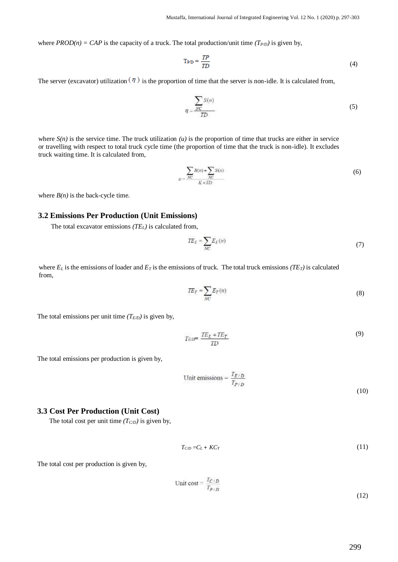where  $PROD(n) = CAP$  is the capacity of a truck. The total production/unit time  $(T_{P/D})$  is given by,

$$
T_{\text{P/D}} = \frac{TP}{TD} \tag{4}
$$

The server (excavator) utilization  $(\eta)$  is the proportion of time that the server is non-idle. It is calculated from,

$$
q = \frac{\sum_{NC} S(n)}{TD} \tag{5}
$$

where  $S(n)$  is the service time. The truck utilization  $(u)$  is the proportion of time that trucks are either in service or travelling with respect to total truck cycle time (the proportion of time that the truck is non-idle). It excludes truck waiting time. It is calculated from,

$$
u = \frac{\sum_{NC} B(n) + \sum_{NC} S(n)}{K \times TD} \tag{6}
$$

where  $B(n)$  is the back-cycle time.

#### **3.2 Emissions Per Production (Unit Emissions)**

The total excavator emissions *(TEL)* is calculated from,

$$
TE_L = \sum_{NC} E_L(n) \tag{7}
$$

where  $E_L$  is the emissions of loader and  $E_T$  is the emissions of truck. The total truck emissions *(TE<sub>T</sub>*) is calculated from,

$$
TE_T = \sum_{NC} E_T(n) \tag{8}
$$

The total emissions per unit time  $(T_{ED})$  is given by,

$$
T_{ED} = \frac{TE_L + TE_T}{ID} \tag{9}
$$

The total emissions per production is given by,

Unit emissions = 
$$
\frac{T_{E/D}}{T_{P/D}}
$$
(10)

#### **3.3 Cost Per Production (Unit Cost)**

The total cost per unit time  $(T<sub>C/D</sub>)$  is given by,

$$
T_{CD} = C_L + KC_T \tag{11}
$$

The total cost per production is given by,

Unit cost = 
$$
\frac{T_{C/D}}{T_{P/D}}
$$
 (12)

299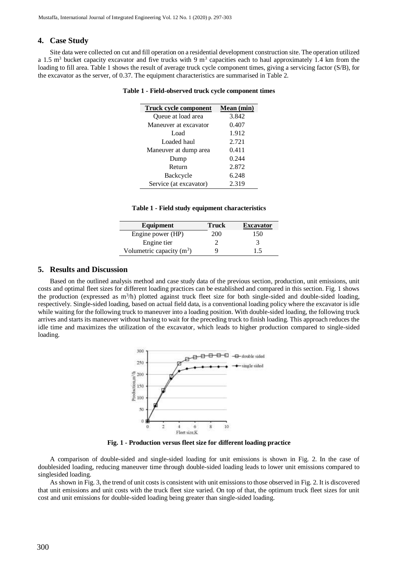# **4. Case Study**

Site data were collected on cut and fill operation on a residential development construction site. The operation utilized a 1.5 m<sup>3</sup> bucket capacity excavator and five trucks with 9 m<sup>3</sup> capacities each to haul approximately 1.4 km from the loading to fill area. Table 1 shows the result of average truck cycle component times, giving a servicing factor (S/B), for the excavator as the server, of 0.37. The equipment characteristics are summarised in Table 2.

|  | Table 1 - Field-observed truck cycle component times |  |  |  |
|--|------------------------------------------------------|--|--|--|
|--|------------------------------------------------------|--|--|--|

| Truck cycle component  | Mean (min) |
|------------------------|------------|
| Queue at load area     | 3.842      |
| Maneuver at excavator  | 0.407      |
| Load                   | 1.912      |
| Loaded haul            | 2.721      |
| Maneuver at dump area  | 0.411      |
| Dump                   | 0.244      |
| Return                 | 2.872      |
| Backcycle              | 6.248      |
| Service (at excavator) | 2.319      |
|                        |            |

#### **Table 1 - Field study equipment characteristics**

| Equipment                   | Truck | <b>Excavator</b> |
|-----------------------------|-------|------------------|
| Engine power (HP)           | 200   | 150              |
| Engine tier                 |       |                  |
| Volumetric capacity $(m^3)$ |       | 1.5              |

#### **5. Results and Discussion**

Based on the outlined analysis method and case study data of the previous section, production, unit emissions, unit costs and optimal fleet sizes for different loading practices can be established and compared in this section. Fig. 1 shows the production (expressed as  $m<sup>3</sup>/h$ ) plotted against truck fleet size for both single-sided and double-sided loading, respectively. Single-sided loading, based on actual field data, is a conventional loading policy where the excavator is idle while waiting for the following truck to maneuver into a loading position. With double-sided loading, the following truck arrives and starts its maneuver without having to wait for the preceding truck to finish loading. This approach reduces the idle time and maximizes the utilization of the excavator, which leads to higher production compared to single-sided loading.



**Fig. 1 - Production versus fleet size for different loading practice**

A comparison of double-sided and single-sided loading for unit emissions is shown in Fig. 2. In the case of doublesided loading, reducing maneuver time through double-sided loading leads to lower unit emissions compared to singlesided loading.

As shown in Fig. 3, the trend of unit costs is consistent with unit emissions to those observed in Fig. 2. It is discovered that unit emissions and unit costs with the truck fleet size varied. On top of that, the optimum truck fleet sizes for unit cost and unit emissions for double-sided loading being greater than single-sided loading.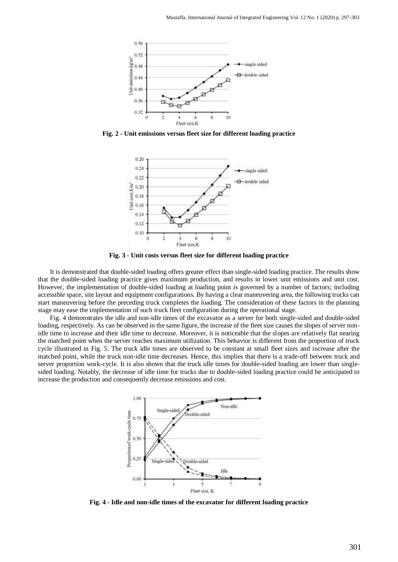

**Fig. 2 - Unit emissions versus fleet size for different loading practice**





It is demonstrated that double-sided loading offers greater effect than single-sided loading practice. The results show that the double-sided loading practice gives maximum production, and results in lower unit emissions and unit cost. However, the implementation of double-sided loading at loading point is governed by a number of factors; including accessible space, site layout and equipment configurations. By having a clear maneuvering area, the following trucks can start maneuvering before the preceding truck completes the loading. The consideration of these factors in the planning stage may ease the implementation of such truck fleet configuration during the operational stage.

Fig. 4 demonstrates the idle and non-idle times of the excavator as a server for both single-sided and double-sided loading, respectively. As can be observed in the same figure, the increase of the fleet size causes the slopes of server nonidle time to increase and their idle time to decrease. Moreover, it is noticeable that the slopes are relatively flat nearing the matched point when the server reaches maximum utilization. This behavior is different from the proportion of truck cycle illustrated in Fig. 5. The truck idle times are observed to be constant at small fleet sizes and increase after the matched point, while the truck non-idle time decreases. Hence, this implies that there is a trade-off between truck and server proportion work-cycle. It is also shown that the truck idle times for double-sided loading are lower than singlesided loading. Notably, the decrease of idle time for trucks due to double-sided loading practice could be anticipated to increase the production and consequently decrease emissions and cost.



**Fig. 4 - Idle and non-idle times of the excavator for different loading practice**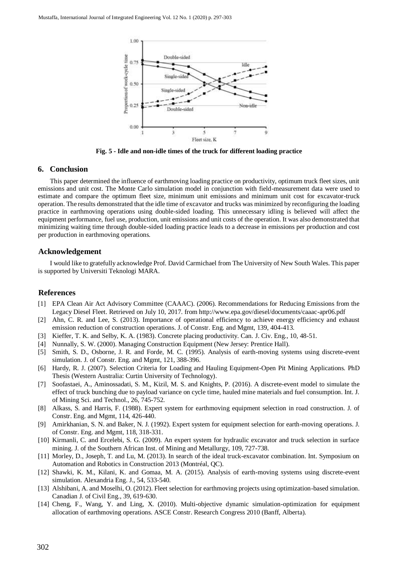

**Fig. 5 - Idle and non-idle times of the truck for different loading practice**

# **6. Conclusion**

This paper determined the influence of earthmoving loading practice on productivity, optimum truck fleet sizes, unit emissions and unit cost. The Monte Carlo simulation model in conjunction with field-measurement data were used to estimate and compare the optimum fleet size, minimum unit emissions and minimum unit cost for excavator-truck operation. The results demonstrated that the idle time of excavator and trucks was minimized by reconfiguring the loading practice in earthmoving operations using double-sided loading. This unnecessary idling is believed will affect the equipment performance, fuel use, production, unit emissions and unit costs of the operation. It was also demonstrated that minimizing waiting time through double-sided loading practice leads to a decrease in emissions per production and cost per production in earthmoving operations.

# **Acknowledgement**

I would like to gratefully acknowledge Prof. David Carmichael from The University of New South Wales. This paper is supported by Universiti Teknologi MARA.

# **References**

- [1] EPA Clean Air Act Advisory Committee (CAAAC). (2006). Recommendations for Reducing Emissions from the Legacy Diesel Fleet. Retrieved on July 10, 2017. from http://www.epa.gov/diesel/documents/caaac-apr06.pdf
- [2] Ahn, C. R. and Lee, S. (2013). Importance of operational efficiency to achieve energy efficiency and exhaust emission reduction of construction operations. J. of Constr. Eng. and Mgmt, 139, 404-413.
- [3] Kieffer, T. K. and Selby, K. A. (1983). Concrete placing productivity. Can. J. Civ. Eng., 10, 48-51.
- [4] Nunnally, S. W. (2000). Managing Construction Equipment (New Jersey: Prentice Hall).
- [5] Smith, S. D., Osborne, J. R. and Forde, M. C. (1995). Analysis of earth-moving systems using discrete-event simulation. J. of Constr. Eng. and Mgmt, 121, 388-396.
- [6] Hardy, R. J. (2007). Selection Criteria for Loading and Hauling Equipment-Open Pit Mining Applications. PhD Thesis (Western Australia: Curtin University of Technology).
- [7] Soofastaei, A., Aminossadati, S. M., Kizil, M. S. and Knights, P. (2016). A discrete-event model to simulate the effect of truck bunching due to payload variance on cycle time, hauled mine materials and fuel consumption. Int. J. of Mining Sci. and Technol., 26, 745-752.
- [8] Alkass, S. and Harris, F. (1988). Expert system for earthmoving equipment selection in road construction. J. of Constr. Eng. and Mgmt, 114, 426-440.
- [9] Amirkhanian, S. N. and Baker, N. J. (1992). Expert system for equipment selection for earth-moving operations. J. of Constr. Eng. and Mgmt, 118, 318-331.
- [10] Kirmanli, C. and Ercelebi, S. G. (2009). An expert system for hydraulic excavator and truck selection in surface mining. J. of the Southern African Inst. of Mining and Metallurgy, 109, 727-738.
- [11] Morley, D., Joseph, T. and Lu, M. (2013). In search of the ideal truck-excavator combination. Int. Symposium on Automation and Robotics in Construction 2013 (Montréal, QC).
- [12] Shawki, K. M., Kilani, K. and Gomaa, M. A. (2015). Analysis of earth-moving systems using discrete-event simulation. Alexandria Eng. J., 54, 533-540.
- [13] Alshibani, A. and Moselhi, O. (2012). Fleet selection for earthmoving projects using optimization-based simulation. Canadian J. of Civil Eng., 39, 619-630.
- [14] Cheng, F., Wang, Y. and Ling, X. (2010). Multi-objective dynamic simulation-optimization for equipment allocation of earthmoving operations. ASCE Constr. Research Congress 2010 (Banff, Alberta).